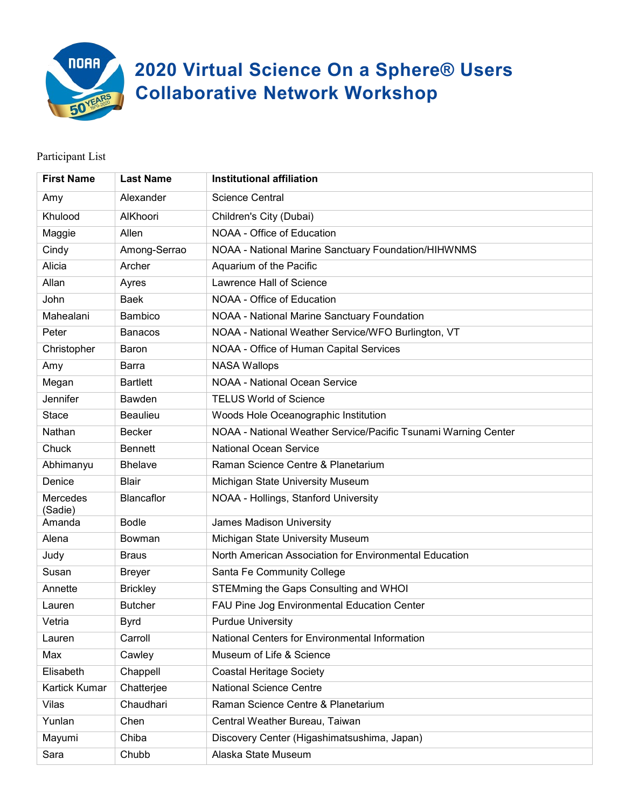

## **2020 Virtual Science On a Sphere® Users Collaborative Network Workshop**

## Participant List

| <b>First Name</b>   | <b>Last Name</b>  | <b>Institutional affiliation</b>                               |
|---------------------|-------------------|----------------------------------------------------------------|
| Amy                 | Alexander         | <b>Science Central</b>                                         |
| Khulood             | AlKhoori          | Children's City (Dubai)                                        |
| Maggie              | Allen             | NOAA - Office of Education                                     |
| Cindy               | Among-Serrao      | NOAA - National Marine Sanctuary Foundation/HIHWNMS            |
| Alicia              | Archer            | Aquarium of the Pacific                                        |
| Allan               | Ayres             | Lawrence Hall of Science                                       |
| John                | <b>Baek</b>       | NOAA - Office of Education                                     |
| Mahealani           | Bambico           | NOAA - National Marine Sanctuary Foundation                    |
| Peter               | <b>Banacos</b>    | NOAA - National Weather Service/WFO Burlington, VT             |
| Christopher         | Baron             | NOAA - Office of Human Capital Services                        |
| Amy                 | <b>Barra</b>      | <b>NASA Wallops</b>                                            |
| Megan               | <b>Bartlett</b>   | <b>NOAA - National Ocean Service</b>                           |
| Jennifer            | Bawden            | <b>TELUS World of Science</b>                                  |
| <b>Stace</b>        | Beaulieu          | Woods Hole Oceanographic Institution                           |
| Nathan              | <b>Becker</b>     | NOAA - National Weather Service/Pacific Tsunami Warning Center |
| Chuck               | <b>Bennett</b>    | <b>National Ocean Service</b>                                  |
| Abhimanyu           | <b>Bhelave</b>    | Raman Science Centre & Planetarium                             |
| Denice              | <b>Blair</b>      | Michigan State University Museum                               |
| Mercedes<br>(Sadie) | <b>Blancaflor</b> | NOAA - Hollings, Stanford University                           |
| Amanda              | <b>Bodle</b>      | James Madison University                                       |
| Alena               | Bowman            | Michigan State University Museum                               |
| Judy                | <b>Braus</b>      | North American Association for Environmental Education         |
| Susan               | <b>Breyer</b>     | Santa Fe Community College                                     |
| Annette             | <b>Brickley</b>   | STEMming the Gaps Consulting and WHOI                          |
| Lauren              | <b>Butcher</b>    | FAU Pine Jog Environmental Education Center                    |
| Vetria              | <b>Byrd</b>       | <b>Purdue University</b>                                       |
| Lauren              | Carroll           | National Centers for Environmental Information                 |
| Max                 | Cawley            | Museum of Life & Science                                       |
| Elisabeth           | Chappell          | <b>Coastal Heritage Society</b>                                |
| Kartick Kumar       | Chatterjee        | <b>National Science Centre</b>                                 |
| Vilas               | Chaudhari         | Raman Science Centre & Planetarium                             |
| Yunlan              | Chen              | Central Weather Bureau, Taiwan                                 |
| Mayumi              | Chiba             | Discovery Center (Higashimatsushima, Japan)                    |
| Sara                | Chubb             | Alaska State Museum                                            |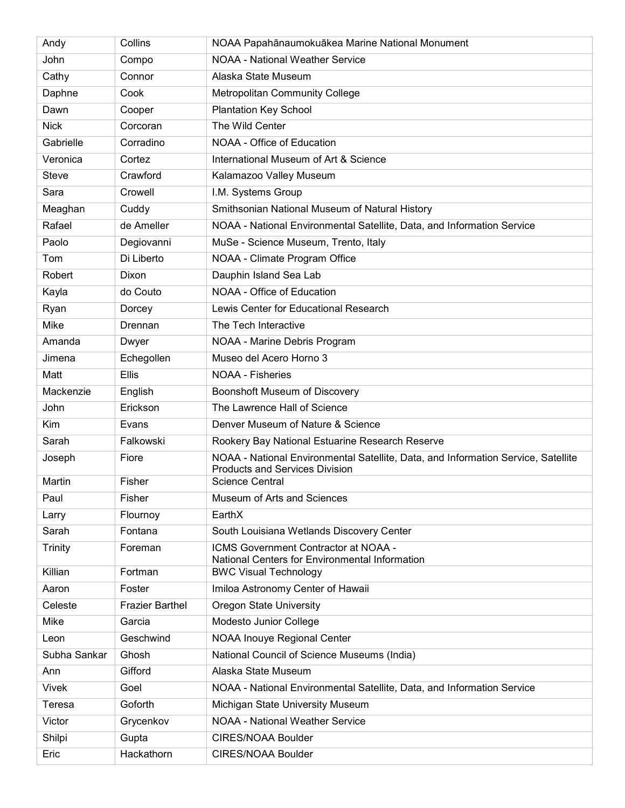| Andy           | Collins                | NOAA Papahānaumokuākea Marine National Monument                                                                            |
|----------------|------------------------|----------------------------------------------------------------------------------------------------------------------------|
| John           | Compo                  | <b>NOAA - National Weather Service</b>                                                                                     |
| Cathy          | Connor                 | Alaska State Museum                                                                                                        |
| Daphne         | Cook                   | <b>Metropolitan Community College</b>                                                                                      |
| Dawn           | Cooper                 | <b>Plantation Key School</b>                                                                                               |
| <b>Nick</b>    | Corcoran               | The Wild Center                                                                                                            |
| Gabrielle      | Corradino              | NOAA - Office of Education                                                                                                 |
| Veronica       | Cortez                 | International Museum of Art & Science                                                                                      |
| <b>Steve</b>   | Crawford               | Kalamazoo Valley Museum                                                                                                    |
| Sara           | Crowell                | I.M. Systems Group                                                                                                         |
| Meaghan        | Cuddy                  | Smithsonian National Museum of Natural History                                                                             |
| Rafael         | de Ameller             | NOAA - National Environmental Satellite, Data, and Information Service                                                     |
| Paolo          | Degiovanni             | MuSe - Science Museum, Trento, Italy                                                                                       |
| Tom            | Di Liberto             | NOAA - Climate Program Office                                                                                              |
| Robert         | Dixon                  | Dauphin Island Sea Lab                                                                                                     |
| Kayla          | do Couto               | NOAA - Office of Education                                                                                                 |
| Ryan           | Dorcey                 | Lewis Center for Educational Research                                                                                      |
| Mike           | Drennan                | The Tech Interactive                                                                                                       |
| Amanda         | Dwyer                  | NOAA - Marine Debris Program                                                                                               |
| Jimena         | Echegollen             | Museo del Acero Horno 3                                                                                                    |
| Matt           | <b>Ellis</b>           | <b>NOAA - Fisheries</b>                                                                                                    |
| Mackenzie      | English                | Boonshoft Museum of Discovery                                                                                              |
| John           | Erickson               | The Lawrence Hall of Science                                                                                               |
| Kim            | Evans                  | Denver Museum of Nature & Science                                                                                          |
| Sarah          | Falkowski              | Rookery Bay National Estuarine Research Reserve                                                                            |
| Joseph         | Fiore                  | NOAA - National Environmental Satellite, Data, and Information Service, Satellite<br><b>Products and Services Division</b> |
| Martin         | Fisher                 | <b>Science Central</b>                                                                                                     |
| Paul           | Fisher                 | Museum of Arts and Sciences                                                                                                |
| Larry          | Flournoy               | EarthX                                                                                                                     |
| Sarah          | Fontana                | South Louisiana Wetlands Discovery Center                                                                                  |
| <b>Trinity</b> | Foreman                | ICMS Government Contractor at NOAA -<br>National Centers for Environmental Information                                     |
| Killian        | Fortman                | <b>BWC Visual Technology</b>                                                                                               |
| Aaron          | Foster                 | Imiloa Astronomy Center of Hawaii                                                                                          |
| Celeste        | <b>Frazier Barthel</b> | <b>Oregon State University</b>                                                                                             |
| Mike           | Garcia                 | Modesto Junior College                                                                                                     |
| Leon           | Geschwind              | NOAA Inouye Regional Center                                                                                                |
| Subha Sankar   | Ghosh                  | National Council of Science Museums (India)                                                                                |
| Ann            | Gifford                | Alaska State Museum                                                                                                        |
| <b>Vivek</b>   | Goel                   | NOAA - National Environmental Satellite, Data, and Information Service                                                     |
| Teresa         | Goforth                | Michigan State University Museum                                                                                           |
| Victor         | Grycenkov              | <b>NOAA - National Weather Service</b>                                                                                     |
| Shilpi         | Gupta                  | CIRES/NOAA Boulder                                                                                                         |
| Eric           | Hackathorn             | CIRES/NOAA Boulder                                                                                                         |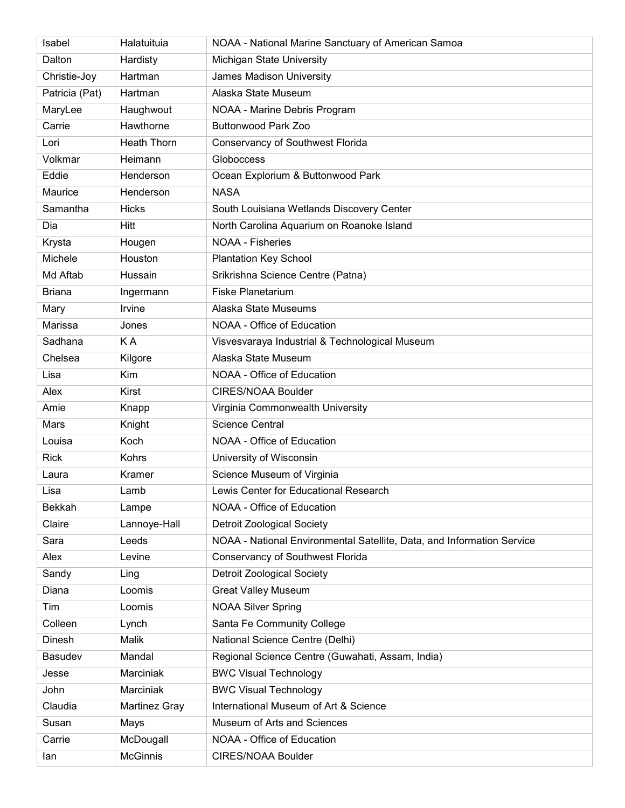| Isabel         | Halatuituia        | NOAA - National Marine Sanctuary of American Samoa                     |
|----------------|--------------------|------------------------------------------------------------------------|
| Dalton         | Hardisty           | Michigan State University                                              |
| Christie-Joy   | Hartman            | James Madison University                                               |
| Patricia (Pat) | Hartman            | Alaska State Museum                                                    |
| MaryLee        | Haughwout          | NOAA - Marine Debris Program                                           |
| Carrie         | Hawthorne          | <b>Buttonwood Park Zoo</b>                                             |
| Lori           | <b>Heath Thorn</b> | <b>Conservancy of Southwest Florida</b>                                |
| Volkmar        | Heimann            | Globoccess                                                             |
| Eddie          | Henderson          | Ocean Explorium & Buttonwood Park                                      |
| Maurice        | Henderson          | <b>NASA</b>                                                            |
| Samantha       | <b>Hicks</b>       | South Louisiana Wetlands Discovery Center                              |
| Dia            | Hitt               | North Carolina Aquarium on Roanoke Island                              |
| Krysta         | Hougen             | <b>NOAA - Fisheries</b>                                                |
| Michele        | Houston            | <b>Plantation Key School</b>                                           |
| Md Aftab       | Hussain            | Srikrishna Science Centre (Patna)                                      |
| <b>Briana</b>  | Ingermann          | <b>Fiske Planetarium</b>                                               |
| Mary           | Irvine             | Alaska State Museums                                                   |
| Marissa        | Jones              | NOAA - Office of Education                                             |
| Sadhana        | KA                 | Visvesvaraya Industrial & Technological Museum                         |
| Chelsea        | Kilgore            | Alaska State Museum                                                    |
| Lisa           | Kim                | NOAA - Office of Education                                             |
| Alex           | Kirst              | <b>CIRES/NOAA Boulder</b>                                              |
| Amie           | Knapp              | Virginia Commonwealth University                                       |
| Mars           | Knight             | <b>Science Central</b>                                                 |
| Louisa         | Koch               | NOAA - Office of Education                                             |
| <b>Rick</b>    | Kohrs              | University of Wisconsin                                                |
| Laura          | Kramer             | Science Museum of Virginia                                             |
| Lisa           | Lamb               | Lewis Center for Educational Research                                  |
| Bekkah         | Lampe              | NOAA - Office of Education                                             |
| Claire         | Lannoye-Hall       | <b>Detroit Zoological Society</b>                                      |
| Sara           | Leeds              | NOAA - National Environmental Satellite, Data, and Information Service |
| Alex           | Levine             | Conservancy of Southwest Florida                                       |
| Sandy          | Ling               | <b>Detroit Zoological Society</b>                                      |
| Diana          | Loomis             | <b>Great Valley Museum</b>                                             |
| Tim            | Loomis             | <b>NOAA Silver Spring</b>                                              |
| Colleen        | Lynch              | Santa Fe Community College                                             |
| Dinesh         | Malik              | National Science Centre (Delhi)                                        |
| Basudev        | Mandal             | Regional Science Centre (Guwahati, Assam, India)                       |
| Jesse          | Marciniak          | <b>BWC Visual Technology</b>                                           |
| John           | Marciniak          | <b>BWC Visual Technology</b>                                           |
| Claudia        | Martinez Gray      | International Museum of Art & Science                                  |
| Susan          | Mays               | Museum of Arts and Sciences                                            |
| Carrie         | McDougall          | NOAA - Office of Education                                             |
| lan            | <b>McGinnis</b>    | CIRES/NOAA Boulder                                                     |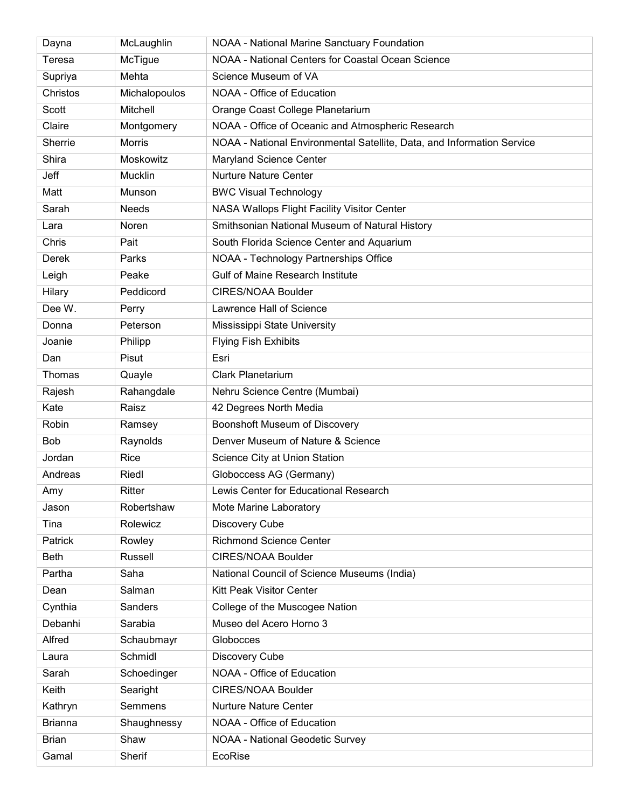| Dayna          | McLaughlin    | <b>NOAA - National Marine Sanctuary Foundation</b>                     |
|----------------|---------------|------------------------------------------------------------------------|
| Teresa         | McTigue       | NOAA - National Centers for Coastal Ocean Science                      |
| Supriya        | Mehta         | Science Museum of VA                                                   |
| Christos       | Michalopoulos | NOAA - Office of Education                                             |
| Scott          | Mitchell      | Orange Coast College Planetarium                                       |
| Claire         | Montgomery    | NOAA - Office of Oceanic and Atmospheric Research                      |
| Sherrie        | <b>Morris</b> | NOAA - National Environmental Satellite, Data, and Information Service |
| Shira          | Moskowitz     | Maryland Science Center                                                |
| Jeff           | Mucklin       | <b>Nurture Nature Center</b>                                           |
| Matt           | Munson        | <b>BWC Visual Technology</b>                                           |
| Sarah          | <b>Needs</b>  | NASA Wallops Flight Facility Visitor Center                            |
| Lara           | Noren         | Smithsonian National Museum of Natural History                         |
| Chris          | Pait          | South Florida Science Center and Aquarium                              |
| <b>Derek</b>   | Parks         | NOAA - Technology Partnerships Office                                  |
| Leigh          | Peake         | <b>Gulf of Maine Research Institute</b>                                |
| Hilary         | Peddicord     | <b>CIRES/NOAA Boulder</b>                                              |
| Dee W.         | Perry         | Lawrence Hall of Science                                               |
| Donna          | Peterson      | Mississippi State University                                           |
| Joanie         | Philipp       | <b>Flying Fish Exhibits</b>                                            |
| Dan            | Pisut         | Esri                                                                   |
| Thomas         | Quayle        | <b>Clark Planetarium</b>                                               |
| Rajesh         | Rahangdale    | Nehru Science Centre (Mumbai)                                          |
| Kate           | Raisz         | 42 Degrees North Media                                                 |
| Robin          | Ramsey        | Boonshoft Museum of Discovery                                          |
| Bob            | Raynolds      | Denver Museum of Nature & Science                                      |
| Jordan         | Rice          | Science City at Union Station                                          |
| Andreas        | Riedl         | Globoccess AG (Germany)                                                |
| Amv            | Ritter        | Lewis Center for Educational Research                                  |
| Jason          | Robertshaw    | Mote Marine Laboratory                                                 |
| Tina           | Rolewicz      | Discovery Cube                                                         |
| Patrick        | Rowley        | <b>Richmond Science Center</b>                                         |
| <b>Beth</b>    | Russell       | <b>CIRES/NOAA Boulder</b>                                              |
| Partha         | Saha          | National Council of Science Museums (India)                            |
| Dean           | Salman        | Kitt Peak Visitor Center                                               |
| Cynthia        | Sanders       | College of the Muscogee Nation                                         |
| Debanhi        | Sarabia       | Museo del Acero Horno 3                                                |
| Alfred         | Schaubmayr    | Globocces                                                              |
| Laura          | Schmidl       | Discovery Cube                                                         |
| Sarah          | Schoedinger   | NOAA - Office of Education                                             |
| Keith          | Searight      | CIRES/NOAA Boulder                                                     |
| Kathryn        | Semmens       | <b>Nurture Nature Center</b>                                           |
| <b>Brianna</b> | Shaughnessy   | NOAA - Office of Education                                             |
| <b>Brian</b>   | Shaw          | <b>NOAA - National Geodetic Survey</b>                                 |
| Gamal          | Sherif        | EcoRise                                                                |